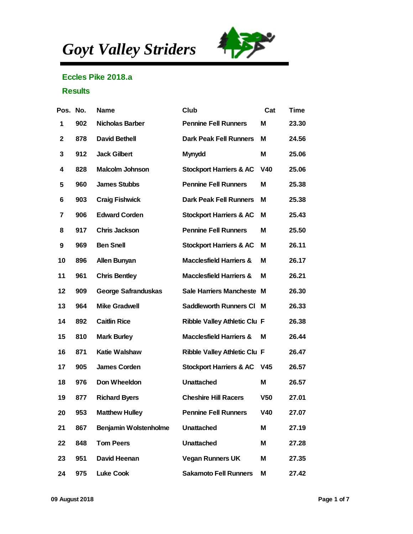*Goyt Valley Striders*



## Eccles Pike 2018.a

## **Results**

| Pos. No. |     | Name                  | Club                         | Cat             | Time  |
|----------|-----|-----------------------|------------------------------|-----------------|-------|
| 1        | 902 | Nicholas Barber       | <b>Pennine Fell Runners</b>  | M               | 23.30 |
| 2        | 878 | David Bethell         | Dark Peak Fell Runners       | М               | 24.56 |
| 3        | 912 | <b>Jack Gilbert</b>   | Mynydd                       | M               | 25.06 |
| 4        | 828 | Malcolm Johnson       | Stockport Harriers & AC      | V40             | 25.06 |
| 5        | 960 | <b>James Stubbs</b>   | <b>Pennine Fell Runners</b>  | M               | 25.38 |
| 6        | 903 | Craig Fishwick        | Dark Peak Fell Runners       | M               | 25.38 |
| 7        | 906 | <b>Edward Corden</b>  | Stockport Harriers & AC      | M               | 25.43 |
| 8        | 917 | Chris Jackson         | <b>Pennine Fell Runners</b>  | M               | 25.50 |
| 9        | 969 | <b>Ben Snell</b>      | Stockport Harriers & AC      | M               | 26.11 |
| 10       | 896 | Allen Bunyan          | Macclesfield Harriers &      | M               | 26.17 |
| 11       | 961 | <b>Chris Bentley</b>  | Macclesfield Harriers &      | M               | 26.21 |
| 12       | 909 | George Safranduskas   | Sale Harriers Mancheste M    |                 | 26.30 |
| 13       | 964 | <b>Mike Gradwell</b>  | Saddleworth Runners CI       | м               | 26.33 |
| 14       | 892 | <b>Caitlin Rice</b>   | Ribble Valley Athletic Clu F |                 | 26.38 |
| 15       | 810 | Mark Burley           | Macclesfield Harriers &      | M               | 26.44 |
| 16       | 871 | Katie Walshaw         | Ribble Valley Athletic Clu F |                 | 26.47 |
| 17       | 905 | James Corden          | Stockport Harriers & AC      | V <sub>45</sub> | 26.57 |
| 18       | 976 | Don Wheeldon          | Unattached                   | M               | 26.57 |
| 19       | 877 | <b>Richard Byers</b>  | <b>Cheshire Hill Racers</b>  | V <sub>50</sub> | 27.01 |
| 20       | 953 | <b>Matthew Hulley</b> | <b>Pennine Fell Runners</b>  | V40             | 27.07 |
| 21       | 867 | Benjamin Wolstenholme | Unattached                   | M               | 27.19 |
| 22       | 848 | Tom Peers             | Unattached                   | M               | 27.28 |
| 23       | 951 | David Heenan          | Vegan Runners UK             | M               | 27.35 |
| 24       | 975 | Luke Cook             | Sakamoto Fell Runners        | M               | 27.42 |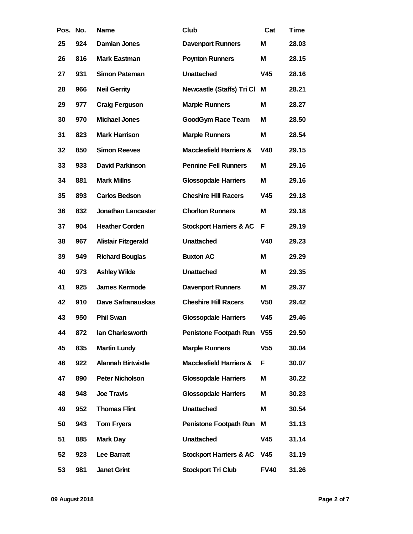| Pos. | No. | Name                   | Club                        | Cat             | Time  |
|------|-----|------------------------|-----------------------------|-----------------|-------|
| 25   | 924 | Damian Jones           | Davenport Runners           | M               | 28.03 |
| 26   | 816 | Mark Eastman           | Poynton Runners             | M               | 28.15 |
| 27   | 931 | Simon Pateman          | Unattached                  | V45             | 28.16 |
| 28   | 966 | <b>Neil Gerrity</b>    | Newcastle (Staffs) Tri Cl   | M               | 28.21 |
| 29   | 977 | Craig Ferguson         | Marple Runners              | M               | 28.27 |
| 30   | 970 | Michael Jones          | GoodGym Race Team           | M               | 28.50 |
| 31   | 823 | Mark Harrison          | Marple Runners              | M               | 28.54 |
| 32   | 850 | Simon Reeves           | Macclesfield Harriers &     | V40             | 29.15 |
| 33   | 933 | David Parkinson        | <b>Pennine Fell Runners</b> | M               | 29.16 |
| 34   | 881 | <b>Mark Millns</b>     | <b>Glossopdale Harriers</b> | M               | 29.16 |
| 35   | 893 | Carlos Bedson          | <b>Cheshire Hill Racers</b> | V45             | 29.18 |
| 36   | 832 | Jonathan Lancaster     | <b>Chorlton Runners</b>     | M               | 29.18 |
| 37   | 904 | <b>Heather Corden</b>  | Stockport Harriers & AC     | F               | 29.19 |
| 38   | 967 | Alistair Fitzgerald    | Unattached                  | V40             | 29.23 |
| 39   | 949 | <b>Richard Bouglas</b> | <b>Buxton AC</b>            | M               | 29.29 |
| 40   | 973 | Ashley Wilde           | Unattached                  | M               | 29.35 |
| 41   | 925 | James Kermode          | <b>Davenport Runners</b>    | M               | 29.37 |
| 42   | 910 | Dave Safranauskas      | <b>Cheshire Hill Racers</b> | V <sub>50</sub> | 29.42 |
| 43   | 950 | Phil Swan              | <b>Glossopdale Harriers</b> | V45             | 29.46 |
| 44   | 872 | Ian Charlesworth       | Penistone Footpath Run      | V <sub>55</sub> | 29.50 |
| 45   | 835 | Martin Lundy           | Marple Runners              | V <sub>55</sub> | 30.04 |
| 46   | 922 | Alannah Birtwistle     | Macclesfield Harriers &     | F               | 30.07 |
| 47   | 890 | Peter Nicholson        | <b>Glossopdale Harriers</b> | M               | 30.22 |
| 48   | 948 | Joe Travis             | <b>Glossopdale Harriers</b> | M               | 30.23 |
| 49   | 952 | <b>Thomas Flint</b>    | Unattached                  | M               | 30.54 |
| 50   | 943 | Tom Fryers             | Penistone Footpath Run      | M               | 31.13 |
| 51   | 885 | Mark Day               | Unattached                  | V45             | 31.14 |
| 52   | 923 | Lee Barratt            | Stockport Harriers & AC     | V45             | 31.19 |
| 53   | 981 | Janet Grint            | Stockport Tri Club          | <b>FV40</b>     | 31.26 |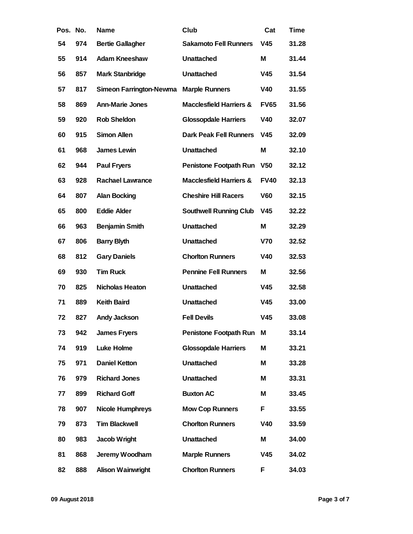| Pos. No. |     | Name                    | Club                        | Cat             | Time  |
|----------|-----|-------------------------|-----------------------------|-----------------|-------|
| 54       | 974 | <b>Bertie Gallagher</b> | Sakamoto Fell Runners       | V45             | 31.28 |
| 55       | 914 | Adam Kneeshaw           | Unattached                  | Μ               | 31.44 |
| 56       | 857 | Mark Stanbridge         | Unattached                  | V45             | 31.54 |
| 57       | 817 | Simeon Farrington-Newma | Marple Runners              | V40             | 31.55 |
| 58       | 869 | Ann-Marie Jones         | Macclesfield Harriers &     | <b>FV65</b>     | 31.56 |
| 59       | 920 | Rob Sheldon             | <b>Glossopdale Harriers</b> | V40             | 32.07 |
| 60       | 915 | Simon Allen             | Dark Peak Fell Runners      | V45             | 32.09 |
| 61       | 968 | James Lewin             | Unattached                  | Μ               | 32.10 |
| 62       | 944 | Paul Fryers             | Penistone Footpath Run      | V <sub>50</sub> | 32.12 |
| 63       | 928 | Rachael Lawrance        | Macclesfield Harriers &     | <b>FV40</b>     | 32.13 |
| 64       | 807 | Alan Bocking            | <b>Cheshire Hill Racers</b> | V60             | 32.15 |
| 65       | 800 | <b>Eddie Alder</b>      | Southwell Running Club      | V45             | 32.22 |
| 66       | 963 | Benjamin Smith          | Unattached                  | Μ               | 32.29 |
| 67       | 806 | <b>Barry Blyth</b>      | Unattached                  | V70             | 32.52 |
| 68       | 812 | <b>Gary Daniels</b>     | <b>Chorlton Runners</b>     | V40             | 32.53 |
| 69       | 930 | <b>Tim Ruck</b>         | <b>Pennine Fell Runners</b> | Μ               | 32.56 |
| 70       | 825 | Nicholas Heaton         | Unattached                  | V45             | 32.58 |
| 71       | 889 | Keith Baird             | Unattached                  | V45             | 33.00 |
| 72       | 827 | Andy Jackson            | <b>Fell Devils</b>          | V45             | 33.08 |
| 73       | 942 | James Fryers            | Penistone Footpath Run      | M               | 33.14 |
| 74       | 919 | Luke Holme              | <b>Glossopdale Harriers</b> | Μ               | 33.21 |
| 75       | 971 | Daniel Ketton           | Unattached                  | Μ               | 33.28 |
| 76       | 979 | <b>Richard Jones</b>    | Unattached                  | Μ               | 33.31 |
| 77       | 899 | <b>Richard Goff</b>     | <b>Buxton AC</b>            | Μ               | 33.45 |
| 78       | 907 | Nicole Humphreys        | Mow Cop Runners             | F               | 33.55 |
| 79       | 873 | <b>Tim Blackwell</b>    | <b>Chorlton Runners</b>     | V40             | 33.59 |
| 80       | 983 | Jacob Wright            | Unattached                  | Μ               | 34.00 |
| 81       | 868 | Jeremy Woodham          | Marple Runners              | V45             | 34.02 |
| 82       | 888 | Alison Wainwright       | <b>Chorlton Runners</b>     | F               | 34.03 |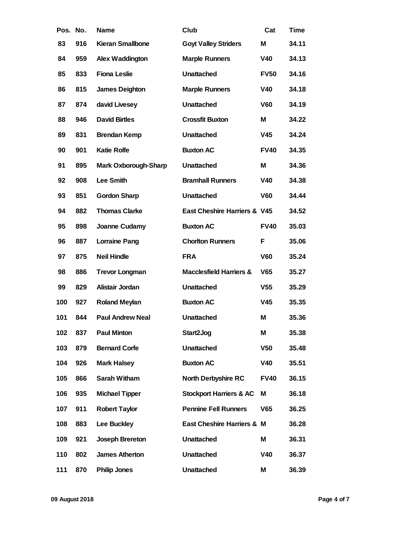| Pos. No. |     | Name                 | Club                         | Cat             | Time  |
|----------|-----|----------------------|------------------------------|-----------------|-------|
| 83       | 916 | Kieran Smallbone     | <b>Goyt Valley Striders</b>  | M               | 34.11 |
| 84       | 959 | Alex Waddington      | Marple Runners               | V40             | 34.13 |
| 85       | 833 | Fiona Leslie         | Unattached                   | <b>FV50</b>     | 34.16 |
| 86       | 815 | James Deighton       | Marple Runners               | V40             | 34.18 |
| 87       | 874 | david Livesey        | Unattached                   | V60             | 34.19 |
| 88       | 946 | <b>David Birtles</b> | <b>Crossfit Buxton</b>       | M               | 34.22 |
| 89       | 831 | Brendan Kemp         | Unattached                   | V45             | 34.24 |
| 90       | 901 | Katie Rolfe          | <b>Buxton AC</b>             | <b>FV40</b>     | 34.35 |
| 91       | 895 | Mark Oxborough-Sharp | Unattached                   | M               | 34.36 |
| 92       | 908 | Lee Smith            | <b>Bramhall Runners</b>      | V40             | 34.38 |
| 93       | 851 | Gordon Sharp         | Unattached                   | V60             | 34.44 |
| 94       | 882 | <b>Thomas Clarke</b> | East Cheshire Harriers & V45 |                 | 34.52 |
| 95       | 898 | Joanne Cudamy        | <b>Buxton AC</b>             | <b>FV40</b>     | 35.03 |
| 96       | 887 | Lorraine Pang        | <b>Chorlton Runners</b>      | F               | 35.06 |
| 97       | 875 | Neil Hindle          | <b>FRA</b>                   | V60             | 35.24 |
| 98       | 886 | Trevor Longman       | Macclesfield Harriers &      | V65             | 35.27 |
| 99       | 829 | Alistair Jordan      | Unattached                   | V <sub>55</sub> | 35.29 |
| 100      | 927 | Roland Meylan        | <b>Buxton AC</b>             | V45             | 35.35 |
| 101      | 844 | Paul Andrew Neal     | Unattached                   | M               | 35.36 |
| 102      | 837 | Paul Minton          | Start2Jog                    | M               | 35.38 |
| 103      | 879 | <b>Bernard Corfe</b> | Unattached                   | V <sub>50</sub> | 35.48 |
| 104      | 926 | Mark Halsey          | <b>Buxton AC</b>             | V40             | 35.51 |
| 105      | 866 | Sarah Witham         | North Derbyshire RC          | <b>FV40</b>     | 36.15 |
| 106      | 935 | Michael Tipper       | Stockport Harriers & AC      | M               | 36.18 |
| 107      | 911 | <b>Robert Taylor</b> | <b>Pennine Fell Runners</b>  | V65             | 36.25 |
| 108      | 883 | Lee Buckley          | East Cheshire Harriers & M   |                 | 36.28 |
| 109      | 921 | Joseph Brereton      | Unattached                   | М               | 36.31 |
| 110      | 802 | James Atherton       | Unattached                   | V40             | 36.37 |
| 111      | 870 | Philip Jones         | Unattached                   | M               | 36.39 |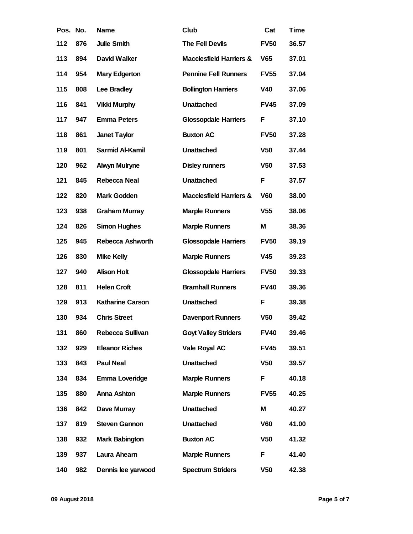| Pos. No. |     | Name                  | Club                        | Cat             | Time  |
|----------|-----|-----------------------|-----------------------------|-----------------|-------|
| 112      | 876 | Julie Smith           | The Fell Devils             | <b>FV50</b>     | 36.57 |
| 113      | 894 | David Walker          | Macclesfield Harriers &     | V65             | 37.01 |
| 114      | 954 | Mary Edgerton         | <b>Pennine Fell Runners</b> | <b>FV55</b>     | 37.04 |
| 115      | 808 | Lee Bradley           | <b>Bollington Harriers</b>  | V40             | 37.06 |
| 116      | 841 | Vikki Murphy          | Unattached                  | <b>FV45</b>     | 37.09 |
| 117      | 947 | <b>Emma Peters</b>    | <b>Glossopdale Harriers</b> | F               | 37.10 |
| 118      | 861 | Janet Taylor          | <b>Buxton AC</b>            | <b>FV50</b>     | 37.28 |
| 119      | 801 | Sarmid Al-Kamil       | Unattached                  | V <sub>50</sub> | 37.44 |
| 120      | 962 | Alwyn Mulryne         | Disley runners              | V <sub>50</sub> | 37.53 |
| 121      | 845 | Rebecca Neal          | Unattached                  | F               | 37.57 |
| 122      | 820 | Mark Godden           | Macclesfield Harriers &     | V60             | 38.00 |
| 123      | 938 | Graham Murray         | Marple Runners              | V55             | 38.06 |
| 124      | 826 | Simon Hughes          | Marple Runners              | M               | 38.36 |
| 125      | 945 | Rebecca Ashworth      | <b>Glossopdale Harriers</b> | <b>FV50</b>     | 39.19 |
| 126      | 830 | Mike Kelly            | Marple Runners              | V45             | 39.23 |
| 127      | 940 | Alison Holt           | <b>Glossopdale Harriers</b> | <b>FV50</b>     | 39.33 |
| 128      | 811 | <b>Helen Croft</b>    | <b>Bramhall Runners</b>     | <b>FV40</b>     | 39.36 |
| 129      | 913 | Katharine Carson      | Unattached                  | F               | 39.38 |
| 130      | 934 | <b>Chris Street</b>   | Davenport Runners           | V <sub>50</sub> | 39.42 |
| 131      | 860 | Rebecca Sullivan      | <b>Goyt Valley Striders</b> | <b>FV40</b>     | 39.46 |
| 132      | 929 | <b>Eleanor Riches</b> | Vale Royal AC               | <b>FV45</b>     | 39.51 |
| 133      | 843 | Paul Neal             | Unattached                  | V <sub>50</sub> | 39.57 |
| 134      | 834 | Emma Loveridge        | Marple Runners              | F               | 40.18 |
| 135      | 880 | Anna Ashton           | Marple Runners              | <b>FV55</b>     | 40.25 |
| 136      | 842 | Dave Murray           | Unattached                  | M               | 40.27 |
| 137      | 819 | Steven Gannon         | Unattached                  | V60             | 41.00 |
| 138      | 932 | Mark Babington        | <b>Buxton AC</b>            | V <sub>50</sub> | 41.32 |
| 139      | 937 | Laura Ahearn          | Marple Runners              | F               | 41.40 |
| 140      | 982 | Dennis lee yarwood    | <b>Spectrum Striders</b>    | V50             | 42.38 |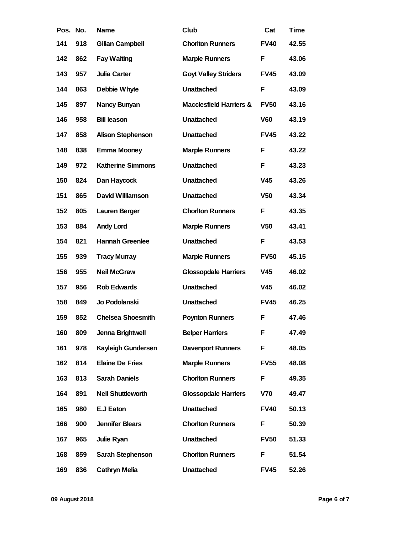| Pos. No. |     | Name                     | Club                        | Cat             | Time  |
|----------|-----|--------------------------|-----------------------------|-----------------|-------|
| 141      | 918 | Gilian Campbell          | <b>Chorlton Runners</b>     | <b>FV40</b>     | 42.55 |
| 142      | 862 | Fay Waiting              | <b>Marple Runners</b>       | F               | 43.06 |
| 143      | 957 | Julia Carter             | <b>Goyt Valley Striders</b> | <b>FV45</b>     | 43.09 |
| 144      | 863 | Debbie Whyte             | Unattached                  | F               | 43.09 |
| 145      | 897 | Nancy Bunyan             | Macclesfield Harriers &     | <b>FV50</b>     | 43.16 |
| 146      | 958 | <b>Bill leason</b>       | Unattached                  | V60             | 43.19 |
| 147      | 858 | Alison Stephenson        | Unattached                  | <b>FV45</b>     | 43.22 |
| 148      | 838 | Emma Mooney              | Marple Runners              | F               | 43.22 |
| 149      | 972 | <b>Katherine Simmons</b> | Unattached                  | F               | 43.23 |
| 150      | 824 | Dan Haycock              | Unattached                  | V45             | 43.26 |
| 151      | 865 | David Williamson         | Unattached                  | V <sub>50</sub> | 43.34 |
| 152      | 805 | Lauren Berger            | <b>Chorlton Runners</b>     | F               | 43.35 |
| 153      | 884 | Andy Lord                | Marple Runners              | V <sub>50</sub> | 43.41 |
| 154      | 821 | Hannah Greenlee          | Unattached                  | F               | 43.53 |
| 155      | 939 | <b>Tracy Murray</b>      | <b>Marple Runners</b>       | <b>FV50</b>     | 45.15 |
| 156      | 955 | Neil McGraw              | <b>Glossopdale Harriers</b> | V45             | 46.02 |
| 157      | 956 | Rob Edwards              | Unattached                  | V45             | 46.02 |
| 158      | 849 | Jo Podolanski            | Unattached                  | <b>FV45</b>     | 46.25 |
| 159      | 852 | <b>Chelsea Shoesmith</b> | Poynton Runners             | F               | 47.46 |
| 160      | 809 | Jenna Brightwell         | <b>Belper Harriers</b>      | F               | 47.49 |
| 161      | 978 | Kayleigh Gundersen       | <b>Davenport Runners</b>    | F               | 48.05 |
| 162      | 814 | Elaine De Fries          | Marple Runners              | <b>FV55</b>     | 48.08 |
| 163      | 813 | Sarah Daniels            | <b>Chorlton Runners</b>     | F               | 49.35 |
| 164      | 891 | Neil Shuttleworth        | <b>Glossopdale Harriers</b> | V70             | 49.47 |
| 165      | 980 | E.J Eaton                | Unattached                  | <b>FV40</b>     | 50.13 |
| 166      | 900 | Jennifer Blears          | <b>Chorlton Runners</b>     | F               | 50.39 |
| 167      | 965 | Julie Ryan               | Unattached                  | <b>FV50</b>     | 51.33 |
| 168      | 859 | Sarah Stephenson         | <b>Chorlton Runners</b>     | F               | 51.54 |
| 169      | 836 | Cathryn Melia            | Unattached                  | <b>FV45</b>     | 52.26 |